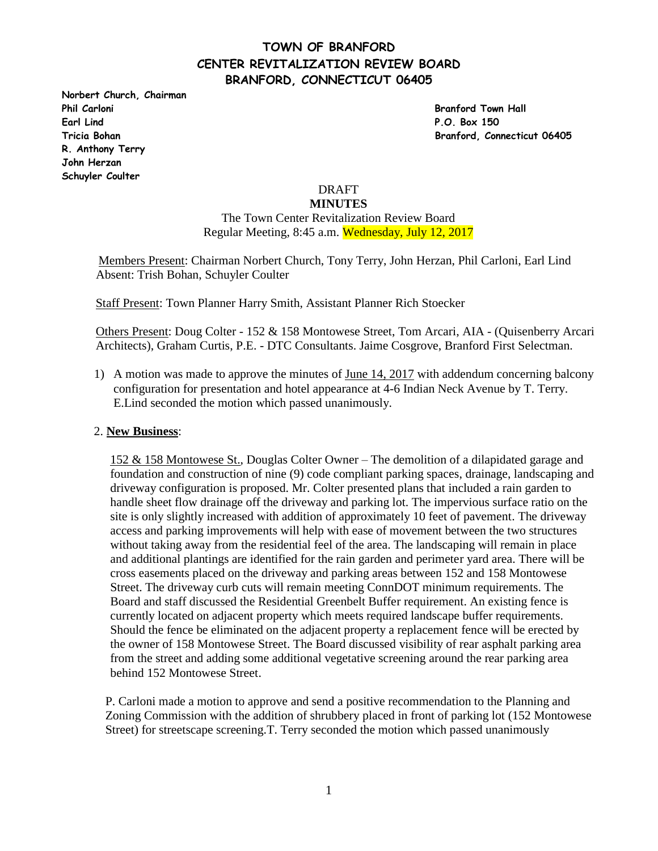# **TOWN OF BRANFORD CENTER REVITALIZATION REVIEW BOARD BRANFORD, CONNECTICUT 06405**

**Norbert Church, Chairman Phil Carloni Branford Town Hall Earl Lind P.O. Box 150 R. Anthony Terry John Herzan Schuyler Coulter** 

**Tricia Bohan Branford, Connecticut 06405**

# DRAFT

### **MINUTES**

The Town Center Revitalization Review Board Regular Meeting, 8:45 a.m. Wednesday, July 12, 2017

 Members Present: Chairman Norbert Church, Tony Terry, John Herzan, Phil Carloni, Earl Lind Absent: Trish Bohan, Schuyler Coulter

Staff Present: Town Planner Harry Smith, Assistant Planner Rich Stoecker

Others Present: Doug Colter - 152 & 158 Montowese Street, Tom Arcari, AIA - (Quisenberry Arcari Architects), Graham Curtis, P.E. - DTC Consultants. Jaime Cosgrove, Branford First Selectman.

1) A motion was made to approve the minutes of June 14, 2017 with addendum concerning balcony configuration for presentation and hotel appearance at 4-6 Indian Neck Avenue by T. Terry. E.Lind seconded the motion which passed unanimously.

### 2. **New Business**:

152 & 158 Montowese St., Douglas Colter Owner – The demolition of a dilapidated garage and foundation and construction of nine (9) code compliant parking spaces, drainage, landscaping and driveway configuration is proposed. Mr. Colter presented plans that included a rain garden to handle sheet flow drainage off the driveway and parking lot. The impervious surface ratio on the site is only slightly increased with addition of approximately 10 feet of pavement. The driveway access and parking improvements will help with ease of movement between the two structures without taking away from the residential feel of the area. The landscaping will remain in place and additional plantings are identified for the rain garden and perimeter yard area. There will be cross easements placed on the driveway and parking areas between 152 and 158 Montowese Street. The driveway curb cuts will remain meeting ConnDOT minimum requirements. The Board and staff discussed the Residential Greenbelt Buffer requirement. An existing fence is currently located on adjacent property which meets required landscape buffer requirements. Should the fence be eliminated on the adjacent property a replacement fence will be erected by the owner of 158 Montowese Street. The Board discussed visibility of rear asphalt parking area from the street and adding some additional vegetative screening around the rear parking area behind 152 Montowese Street.

P. Carloni made a motion to approve and send a positive recommendation to the Planning and Zoning Commission with the addition of shrubbery placed in front of parking lot (152 Montowese Street) for streetscape screening.T. Terry seconded the motion which passed unanimously